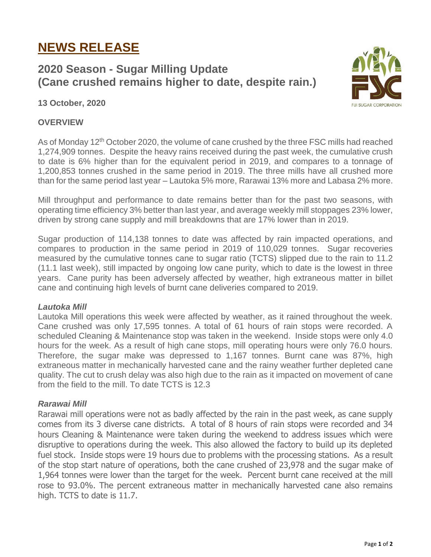# **NEWS RELEASE**

## **2020 Season - Sugar Milling Update (Cane crushed remains higher to date, despite rain.)**



#### **13 October, 2020**

#### **OVERVIEW**

As of Monday 12<sup>th</sup> October 2020, the volume of cane crushed by the three FSC mills had reached 1,274,909 tonnes. Despite the heavy rains received during the past week, the cumulative crush to date is 6% higher than for the equivalent period in 2019, and compares to a tonnage of 1,200,853 tonnes crushed in the same period in 2019. The three mills have all crushed more than for the same period last year – Lautoka 5% more, Rarawai 13% more and Labasa 2% more.

Mill throughput and performance to date remains better than for the past two seasons, with operating time efficiency 3% better than last year, and average weekly mill stoppages 23% lower, driven by strong cane supply and mill breakdowns that are 17% lower than in 2019.

Sugar production of 114,138 tonnes to date was affected by rain impacted operations, and compares to production in the same period in 2019 of 110,029 tonnes. Sugar recoveries measured by the cumulative tonnes cane to sugar ratio (TCTS) slipped due to the rain to 11.2 (11.1 last week), still impacted by ongoing low cane purity, which to date is the lowest in three years. Cane purity has been adversely affected by weather, high extraneous matter in billet cane and continuing high levels of burnt cane deliveries compared to 2019.

#### *Lautoka Mill*

Lautoka Mill operations this week were affected by weather, as it rained throughout the week. Cane crushed was only 17,595 tonnes. A total of 61 hours of rain stops were recorded. A scheduled Cleaning & Maintenance stop was taken in the weekend. Inside stops were only 4.0 hours for the week. As a result of high cane stops, mill operating hours were only 76.0 hours. Therefore, the sugar make was depressed to 1,167 tonnes. Burnt cane was 87%, high extraneous matter in mechanically harvested cane and the rainy weather further depleted cane quality. The cut to crush delay was also high due to the rain as it impacted on movement of cane from the field to the mill. To date TCTS is 12.3

### *Rarawai Mill*

Rarawai mill operations were not as badly affected by the rain in the past week, as cane supply comes from its 3 diverse cane districts. A total of 8 hours of rain stops were recorded and 34 hours Cleaning & Maintenance were taken during the weekend to address issues which were disruptive to operations during the week. This also allowed the factory to build up its depleted fuel stock. Inside stops were 19 hours due to problems with the processing stations. As a result of the stop start nature of operations, both the cane crushed of 23,978 and the sugar make of 1,964 tonnes were lower than the target for the week. Percent burnt cane received at the mill rose to 93.0%. The percent extraneous matter in mechanically harvested cane also remains high. TCTS to date is 11.7.